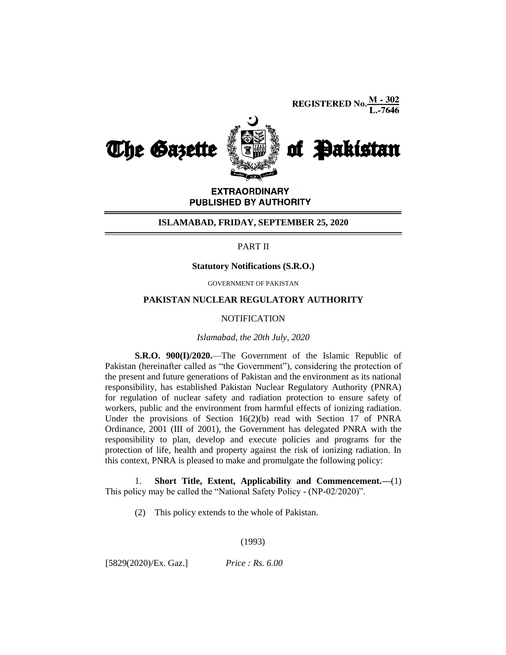**REGISTERED No.**  $\frac{M - 302}{L - 7646}$ 



**EXTRAORDINARY** PUBLISHED BY AUTHORITY

### **ISLAMABAD, FRIDAY, SEPTEMBER 25, 2020**

### PART II

## **Statutory Notifications (S.R.O.)**

GOVERNMENT OF PAKISTAN

# **PAKISTAN NUCLEAR REGULATORY AUTHORITY**

### **NOTIFICATION**

### *Islamabad, the 20th July, 2020*

**S.R.O. 900(I)/2020.**—The Government of the Islamic Republic of Pakistan (hereinafter called as "the Government"), considering the protection of the present and future generations of Pakistan and the environment as its national responsibility, has established Pakistan Nuclear Regulatory Authority (PNRA) for regulation of nuclear safety and radiation protection to ensure safety of workers, public and the environment from harmful effects of ionizing radiation. Under the provisions of Section 16(2)(b) read with Section 17 of PNRA Ordinance, 2001 (III of 2001), the Government has delegated PNRA with the responsibility to plan, develop and execute policies and programs for the protection of life, health and property against the risk of ionizing radiation. In this context, PNRA is pleased to make and promulgate the following policy:

1. **Short Title, Extent, Applicability and Commencement.—**(1) This policy may be called the "National Safety Policy - (NP-02/2020)".

(2) This policy extends to the whole of Pakistan.

### (1993)

[5829(2020)/Ex. Gaz.] *Price : Rs. 6.00*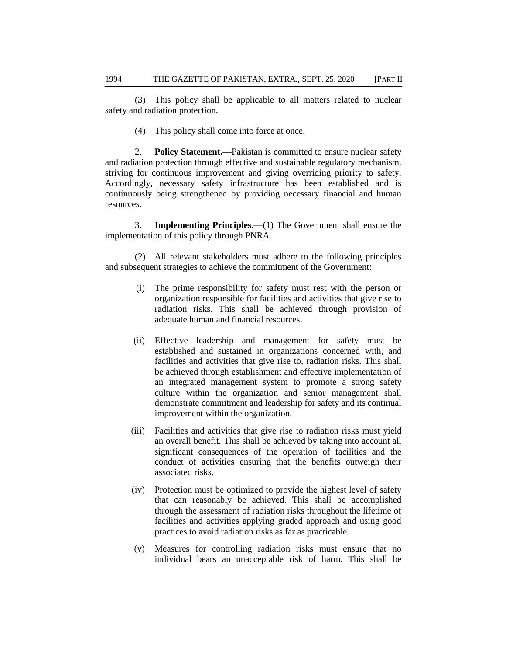(3) This policy shall be applicable to all matters related to nuclear safety and radiation protection.

(4) This policy shall come into force at once.

2. **Policy Statement.—**Pakistan is committed to ensure nuclear safety and radiation protection through effective and sustainable regulatory mechanism, striving for continuous improvement and giving overriding priority to safety. Accordingly, necessary safety infrastructure has been established and is continuously being strengthened by providing necessary financial and human resources.

3. **Implementing Principles.—**(1) The Government shall ensure the implementation of this policy through PNRA.

(2) All relevant stakeholders must adhere to the following principles and subsequent strategies to achieve the commitment of the Government:

- (i) The prime responsibility for safety must rest with the person or organization responsible for facilities and activities that give rise to radiation risks. This shall be achieved through provision of adequate human and financial resources.
- (ii) Effective leadership and management for safety must be established and sustained in organizations concerned with, and facilities and activities that give rise to, radiation risks. This shall be achieved through establishment and effective implementation of an integrated management system to promote a strong safety culture within the organization and senior management shall demonstrate commitment and leadership for safety and its continual improvement within the organization.
- (iii) Facilities and activities that give rise to radiation risks must yield an overall benefit. This shall be achieved by taking into account all significant consequences of the operation of facilities and the conduct of activities ensuring that the benefits outweigh their associated risks.
- (iv) Protection must be optimized to provide the highest level of safety that can reasonably be achieved. This shall be accomplished through the assessment of radiation risks throughout the lifetime of facilities and activities applying graded approach and using good practices to avoid radiation risks as far as practicable.
- (v) Measures for controlling radiation risks must ensure that no individual bears an unacceptable risk of harm. This shall be